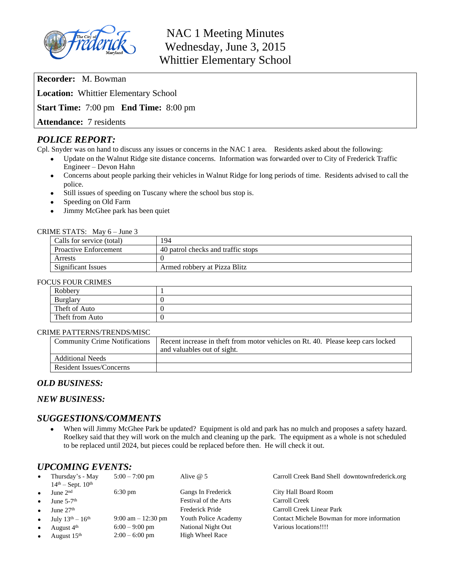

# NAC 1 Meeting Minutes Wednesday, June 3, 2015 Whittier Elementary School

**Recorder:** M. Bowman **Location:** Whittier Elementary School **Start Time:** 7:00 pm **End Time:** 8:00 pm

**Attendance:** 7 residents

# *POLICE REPORT:*

Cpl. Snyder was on hand to discuss any issues or concerns in the NAC 1 area. Residents asked about the following:

- Update on the Walnut Ridge site distance concerns. Information was forwarded over to City of Frederick Traffic Engineer – Devon Hahn
- Concerns about people parking their vehicles in Walnut Ridge for long periods of time. Residents advised to call the police.
- Still issues of speeding on Tuscany where the school bus stop is.
- Speeding on Old Farm
- Jimmy McGhee park has been quiet

#### CRIME STATS: May 6 – June 3

| Calls for service (total)    | 194                                |  |  |  |
|------------------------------|------------------------------------|--|--|--|
| <b>Proactive Enforcement</b> | 40 patrol checks and traffic stops |  |  |  |
| Arrests                      |                                    |  |  |  |
| Significant Issues           | Armed robbery at Pizza Blitz       |  |  |  |

#### FOCUS FOUR CRIMES

| Robbery         |  |  |  |  |
|-----------------|--|--|--|--|
| Burglary        |  |  |  |  |
| Theft of Auto   |  |  |  |  |
| Theft from Auto |  |  |  |  |

#### CRIME PATTERNS/TRENDS/MISC

| <b>Community Crime Notifications</b> | Recent increase in theft from motor vehicles on Rt. 40. Please keep cars locked<br>and valuables out of sight. |  |  |
|--------------------------------------|----------------------------------------------------------------------------------------------------------------|--|--|
| <b>Additional Needs</b>              |                                                                                                                |  |  |
| Resident Issues/Concerns             |                                                                                                                |  |  |

# *OLD BUSINESS:*

# *NEW BUSINESS:*

# *SUGGESTIONS/COMMENTS*

 When will Jimmy McGhee Park be updated? Equipment is old and park has no mulch and proposes a safety hazard. Roelkey said that they will work on the mulch and cleaning up the park. The equipment as a whole is not scheduled to be replaced until 2024, but pieces could be replaced before then. He will check it out.

# *UPCOMING EVENTS:*

| $\bullet$ | Thursday's - May<br>$14th - Sept. 10th$ | $5:00 - 7:00$ pm                     | Alive $@$ 5          | Carroll Creek Band Shell downtownfrederick.org |
|-----------|-----------------------------------------|--------------------------------------|----------------------|------------------------------------------------|
| $\bullet$ | June $2nd$                              | $6:30 \text{ pm}$                    | Gangs In Frederick   | City Hall Board Room                           |
| $\bullet$ | June $5-7$ <sup>th</sup>                |                                      | Festival of the Arts | Carroll Creek                                  |
| $\bullet$ | June $27th$                             |                                      | Frederick Pride      | Carroll Creek Linear Park                      |
| $\bullet$ | July $13^{th} - 16^{th}$                | $9:00 \text{ am} - 12:30 \text{ pm}$ | Youth Police Academy | Contact Michele Bowman for more information    |
| $\bullet$ | August 4 <sup>th</sup>                  | $6:00 - 9:00$ pm                     | National Night Out   | Various locations!!!!                          |
| $\bullet$ | August $15th$                           | $2:00 - 6:00$ pm                     | High Wheel Race      |                                                |